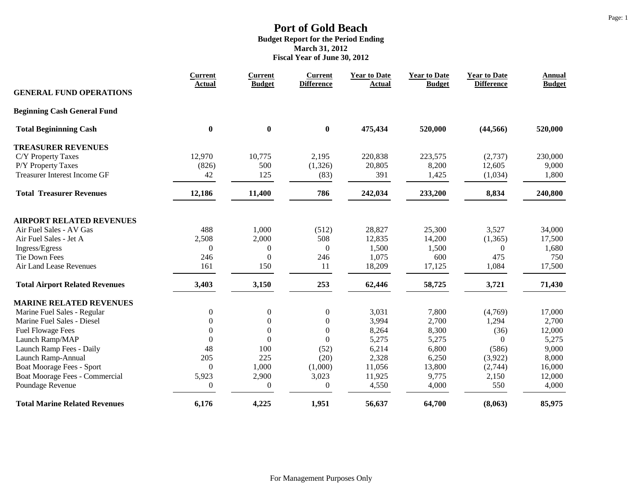|                                       | <b>Current</b><br><b>Actual</b> | <b>Current</b><br><b>Budget</b> | <b>Current</b><br><b>Difference</b> | <b>Year to Date</b><br><b>Actual</b> | <b>Year to Date</b><br><b>Budget</b> | <b>Year to Date</b><br><b>Difference</b> | <b>Annual</b><br><b>Budget</b> |
|---------------------------------------|---------------------------------|---------------------------------|-------------------------------------|--------------------------------------|--------------------------------------|------------------------------------------|--------------------------------|
| <b>GENERAL FUND OPERATIONS</b>        |                                 |                                 |                                     |                                      |                                      |                                          |                                |
| <b>Beginning Cash General Fund</b>    |                                 |                                 |                                     |                                      |                                      |                                          |                                |
| <b>Total Begininning Cash</b>         | $\boldsymbol{0}$                | $\boldsymbol{0}$                | $\boldsymbol{0}$                    | 475,434                              | 520,000                              | (44, 566)                                | 520,000                        |
| <b>TREASURER REVENUES</b>             |                                 |                                 |                                     |                                      |                                      |                                          |                                |
| C/Y Property Taxes                    | 12,970                          | 10,775                          | 2,195                               | 220,838                              | 223,575                              | (2,737)                                  | 230,000                        |
| P/Y Property Taxes                    | (826)                           | 500                             | (1,326)                             | 20,805                               | 8,200                                | 12,605                                   | 9,000                          |
| <b>Treasurer Interest Income GF</b>   | 42                              | 125                             | (83)                                | 391                                  | 1,425                                | (1,034)                                  | 1,800                          |
| <b>Total Treasurer Revenues</b>       | 12,186                          | 11,400                          | 786                                 | 242,034                              | 233,200                              | 8,834                                    | 240,800                        |
| <b>AIRPORT RELATED REVENUES</b>       |                                 |                                 |                                     |                                      |                                      |                                          |                                |
| Air Fuel Sales - AV Gas               | 488                             | 1,000                           | (512)                               | 28,827                               | 25,300                               | 3,527                                    | 34,000                         |
| Air Fuel Sales - Jet A                | 2,508                           | 2,000                           | 508                                 | 12,835                               | 14,200                               | (1, 365)                                 | 17,500                         |
| Ingress/Egress                        | $\Omega$                        | $\boldsymbol{0}$                | $\overline{0}$                      | 1,500                                | 1,500                                | $\Omega$                                 | 1,680                          |
| <b>Tie Down Fees</b>                  | 246                             | $\boldsymbol{0}$                | 246                                 | 1,075                                | 600                                  | 475                                      | 750                            |
| Air Land Lease Revenues               | 161                             | 150                             | 11                                  | 18,209                               | 17,125                               | 1,084                                    | 17,500                         |
| <b>Total Airport Related Revenues</b> | 3,403                           | 3,150                           | 253                                 | 62,446                               | 58,725                               | 3,721                                    | 71,430                         |
| <b>MARINE RELATED REVENUES</b>        |                                 |                                 |                                     |                                      |                                      |                                          |                                |
| Marine Fuel Sales - Regular           | $\mathbf{0}$                    | $\boldsymbol{0}$                | $\boldsymbol{0}$                    | 3,031                                | 7,800                                | (4,769)                                  | 17,000                         |
| Marine Fuel Sales - Diesel            | $\mathbf{0}$                    | $\boldsymbol{0}$                | $\boldsymbol{0}$                    | 3,994                                | 2,700                                | 1,294                                    | 2,700                          |
| <b>Fuel Flowage Fees</b>              | $\boldsymbol{0}$                | $\boldsymbol{0}$                | $\boldsymbol{0}$                    | 8,264                                | 8,300                                | (36)                                     | 12,000                         |
| Launch Ramp/MAP                       | $\mathbf{0}$                    | $\boldsymbol{0}$                | $\boldsymbol{0}$                    | 5,275                                | 5,275                                | $\theta$                                 | 5,275                          |
| Launch Ramp Fees - Daily              | 48                              | 100                             | (52)                                | 6,214                                | 6,800                                | (586)                                    | 9,000                          |
| Launch Ramp-Annual                    | 205                             | 225                             | (20)                                | 2,328                                | 6,250                                | (3,922)                                  | 8,000                          |
| Boat Moorage Fees - Sport             | $\Omega$                        | 1,000                           | (1,000)                             | 11,056                               | 13,800                               | (2,744)                                  | 16,000                         |
| Boat Moorage Fees - Commercial        | 5,923                           | 2,900                           | 3,023                               | 11,925                               | 9,775                                | 2,150                                    | 12,000                         |
| Poundage Revenue                      | $\theta$                        | $\boldsymbol{0}$                | $\boldsymbol{0}$                    | 4,550                                | 4,000                                | 550                                      | 4,000                          |
| <b>Total Marine Related Revenues</b>  | 6,176                           | 4,225                           | 1,951                               | 56,637                               | 64,700                               | (8,063)                                  | 85,975                         |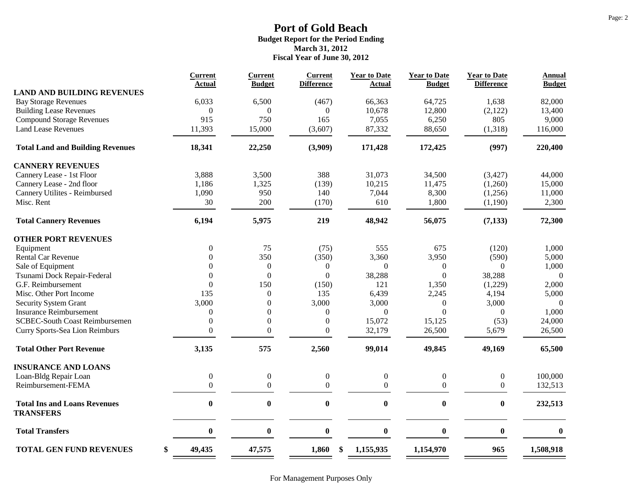| <b>Current</b>   | <b>Current</b>                     | <b>Current</b>                            | <b>Year to Date</b>                           | <b>Year to Date</b>                              | <b>Year to Date</b>                        | <b>Annual</b>                                           |
|------------------|------------------------------------|-------------------------------------------|-----------------------------------------------|--------------------------------------------------|--------------------------------------------|---------------------------------------------------------|
|                  |                                    |                                           |                                               |                                                  |                                            | <b>Budget</b>                                           |
|                  |                                    |                                           |                                               |                                                  |                                            | 82,000                                                  |
|                  |                                    |                                           |                                               |                                                  |                                            | 13,400                                                  |
|                  |                                    |                                           |                                               |                                                  |                                            | 9,000                                                   |
| 11,393           | 15,000                             | (3,607)                                   | 87,332                                        | 88,650                                           | (1,318)                                    | 116,000                                                 |
| 18,341           | 22,250                             | (3,909)                                   | 171,428                                       | 172,425                                          | (997)                                      | 220,400                                                 |
|                  |                                    |                                           |                                               |                                                  |                                            |                                                         |
| 3,888            | 3,500                              | 388                                       | 31,073                                        | 34,500                                           | (3, 427)                                   | 44,000                                                  |
| 1,186            | 1,325                              | (139)                                     | 10,215                                        | 11,475                                           | (1,260)                                    | 15,000                                                  |
| 1,090            | 950                                | 140                                       | 7,044                                         | 8,300                                            |                                            | 11,000                                                  |
| 30               | 200                                | (170)                                     | 610                                           | 1,800                                            | (1,190)                                    | 2,300                                                   |
| 6,194            | 5,975                              | 219                                       | 48,942                                        | 56,075                                           | (7, 133)                                   | 72,300                                                  |
|                  |                                    |                                           |                                               |                                                  |                                            |                                                         |
| $\boldsymbol{0}$ | 75                                 | (75)                                      | 555                                           | 675                                              | (120)                                      | 1,000                                                   |
| $\theta$         | 350                                | (350)                                     | 3,360                                         | 3,950                                            | (590)                                      | 5,000                                                   |
| $\Omega$         | $\boldsymbol{0}$                   | $\theta$                                  | $\theta$                                      | $\overline{0}$                                   | $\Omega$                                   | 1,000                                                   |
| $\theta$         | $\boldsymbol{0}$                   | $\boldsymbol{0}$                          | 38,288                                        | $\theta$                                         | 38,288                                     | $\Omega$                                                |
| $\overline{0}$   | 150                                | (150)                                     | 121                                           | 1,350                                            | (1,229)                                    | 2,000                                                   |
| 135              | $\mathbf{0}$                       | 135                                       | 6,439                                         | 2,245                                            | 4,194                                      | 5,000                                                   |
| 3,000            | $\theta$                           | 3,000                                     | 3,000                                         | $\overline{0}$                                   | 3,000                                      | $\Omega$                                                |
| $\theta$         | $\mathbf{0}$                       | $\boldsymbol{0}$                          | $\Omega$                                      | $\Omega$                                         | $\overline{0}$                             | 1,000                                                   |
| $\mathbf{0}$     | $\boldsymbol{0}$                   | $\mathbf{0}$                              | 15,072                                        | 15,125                                           | (53)                                       | 24,000                                                  |
| $\boldsymbol{0}$ | $\boldsymbol{0}$                   | $\boldsymbol{0}$                          | 32,179                                        | 26,500                                           | 5,679                                      | 26,500                                                  |
| 3,135            | 575                                | 2,560                                     | 99,014                                        | 49,845                                           | 49,169                                     | 65,500                                                  |
|                  |                                    |                                           |                                               |                                                  |                                            |                                                         |
| $\boldsymbol{0}$ | $\boldsymbol{0}$                   | $\boldsymbol{0}$                          | $\boldsymbol{0}$                              | $\boldsymbol{0}$                                 | $\boldsymbol{0}$                           | 100,000                                                 |
| $\theta$         | $\mathbf{0}$                       | $\Omega$                                  | $\Omega$                                      | $\overline{0}$                                   | $\overline{0}$                             | 132,513                                                 |
| $\bf{0}$         | $\boldsymbol{0}$                   | $\boldsymbol{0}$                          | $\bf{0}$                                      | $\bf{0}$                                         | $\bf{0}$                                   | 232,513                                                 |
| $\bf{0}$         | $\bf{0}$                           | $\boldsymbol{0}$                          | $\bf{0}$                                      | $\bf{0}$                                         | $\bf{0}$                                   | $\bf{0}$                                                |
| 49,435           | 47,575                             | 1,860                                     | 1,155,935                                     | 1,154,970                                        | 965                                        | 1,508,918                                               |
|                  | Actual<br>6,033<br>$\theta$<br>915 | <b>Budget</b><br>6,500<br>$\Omega$<br>750 | <b>Difference</b><br>(467)<br>$\Omega$<br>165 | <b>Actual</b><br>66,363<br>10,678<br>7,055<br>\$ | <b>Budget</b><br>64,725<br>12,800<br>6,250 | <b>Difference</b><br>1,638<br>(2,122)<br>805<br>(1,256) |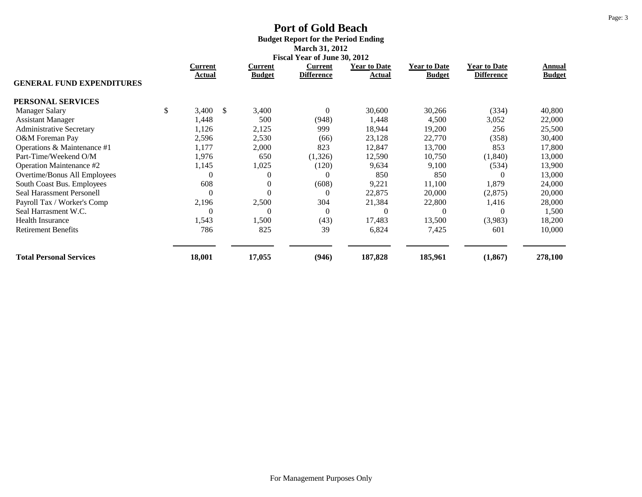# **Port of Gold Beach Budget Report for the Period Ending March 31, 2012**

|                                  | Fiscal Year of June 30, 2012    |               |                          |                              |                               |                                      |                                          |                         |  |
|----------------------------------|---------------------------------|---------------|--------------------------|------------------------------|-------------------------------|--------------------------------------|------------------------------------------|-------------------------|--|
|                                  | <b>Current</b><br><b>Actual</b> |               | Current<br><b>Budget</b> | Current<br><b>Difference</b> | <b>Year to Date</b><br>Actual | <b>Year to Date</b><br><b>Budget</b> | <b>Year to Date</b><br><b>Difference</b> | Annual<br><b>Budget</b> |  |
| <b>GENERAL FUND EXPENDITURES</b> |                                 |               |                          |                              |                               |                                      |                                          |                         |  |
| PERSONAL SERVICES                |                                 |               |                          |                              |                               |                                      |                                          |                         |  |
| \$<br><b>Manager Salary</b>      | 3,400                           | <sup>\$</sup> | 3,400                    | $\mathbf{0}$                 | 30,600                        | 30,266                               | (334)                                    | 40,800                  |  |
| <b>Assistant Manager</b>         | 1,448                           |               | 500                      | (948)                        | 1,448                         | 4,500                                | 3,052                                    | 22,000                  |  |
| <b>Administrative Secretary</b>  | 1,126                           |               | 2,125                    | 999                          | 18,944                        | 19,200                               | 256                                      | 25,500                  |  |
| O&M Foreman Pay                  | 2,596                           |               | 2,530                    | (66)                         | 23,128                        | 22,770                               | (358)                                    | 30,400                  |  |
| Operations & Maintenance #1      | 1,177                           |               | 2,000                    | 823                          | 12,847                        | 13,700                               | 853                                      | 17,800                  |  |
| Part-Time/Weekend O/M            | 1,976                           |               | 650                      | (1,326)                      | 12,590                        | 10,750                               | (1, 840)                                 | 13,000                  |  |
| Operation Maintenance #2         | 1,145                           |               | 1,025                    | (120)                        | 9,634                         | 9,100                                | (534)                                    | 13,900                  |  |
| Overtime/Bonus All Employees     | $\theta$                        |               | $\overline{0}$           | $\theta$                     | 850                           | 850                                  |                                          | 13,000                  |  |
| South Coast Bus. Employees       | 608                             |               | $\overline{0}$           | (608)                        | 9,221                         | 11,100                               | 1,879                                    | 24,000                  |  |
| Seal Harassment Personell        | $\overline{0}$                  |               | $\overline{0}$           | $\boldsymbol{0}$             | 22,875                        | 20,000                               | (2,875)                                  | 20,000                  |  |
| Payroll Tax / Worker's Comp      | 2,196                           |               | 2,500                    | 304                          | 21,384                        | 22,800                               | 1,416                                    | 28,000                  |  |
| Seal Harrasment W.C.             | $\theta$                        |               | $\theta$                 | $\theta$                     | $\Omega$                      | C                                    | 0                                        | 1,500                   |  |
| <b>Health Insurance</b>          | 1,543                           |               | 1,500                    | (43)                         | 17,483                        | 13,500                               | (3,983)                                  | 18,200                  |  |
| <b>Retirement Benefits</b>       | 786                             |               | 825                      | 39                           | 6,824                         | 7,425                                | 601                                      | 10,000                  |  |
| <b>Total Personal Services</b>   | 18,001                          |               | 17,055                   | (946)                        | 187,828                       | 185,961                              | (1, 867)                                 | 278,100                 |  |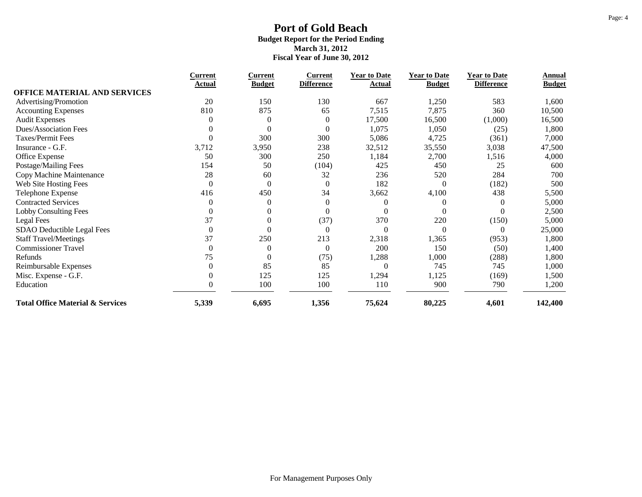|                                             | <b>Current</b>   | <b>Current</b> | <b>Current</b>    | <b>Year to Date</b> | <b>Year to Date</b> | <b>Year to Date</b> | Annual        |
|---------------------------------------------|------------------|----------------|-------------------|---------------------|---------------------|---------------------|---------------|
| <b>OFFICE MATERIAL AND SERVICES</b>         | Actual           | <b>Budget</b>  | <b>Difference</b> | Actual              | <b>Budget</b>       | <b>Difference</b>   | <b>Budget</b> |
|                                             | 20               | 150            | 130               | 667                 |                     |                     |               |
| Advertising/Promotion                       |                  |                |                   |                     | 1,250               | 583                 | 1,600         |
| <b>Accounting Expenses</b>                  | 810              | 875            | 65                | 7,515               | 7,875               | 360                 | 10,500        |
| <b>Audit Expenses</b>                       | 0                | $\theta$       | $\mathbf{0}$      | 17,500              | 16,500              | (1,000)             | 16,500        |
| <b>Dues/Association Fees</b>                |                  | $\Omega$       | $\mathbf{0}$      | 1,075               | 1,050               | (25)                | 1,800         |
| Taxes/Permit Fees                           | $\Omega$         | 300            | 300               | 5,086               | 4,725               | (361)               | 7,000         |
| Insurance - G.F.                            | 3,712            | 3,950          | 238               | 32,512              | 35,550              | 3,038               | 47,500        |
| Office Expense                              | 50               | 300            | 250               | 1,184               | 2,700               | 1,516               | 4,000         |
| Postage/Mailing Fees                        | 154              | 50             | (104)             | 425                 | 450                 | 25                  | 600           |
| Copy Machine Maintenance                    | 28               | 60             | 32                | 236                 | 520                 | 284                 | 700           |
| Web Site Hosting Fees                       | $\theta$         | $\overline{0}$ | $\mathbf{0}$      | 182                 | $\Omega$            | (182)               | 500           |
| Telephone Expense                           | 416              | 450            | 34                | 3,662               | 4,100               | 438                 | 5,500         |
| <b>Contracted Services</b>                  | $\overline{0}$   | $\theta$       | $\mathbf{0}$      |                     |                     | $\Omega$            | 5,000         |
| <b>Lobby Consulting Fees</b>                | $\theta$         | $\theta$       | $\theta$          |                     |                     | $\Omega$            | 2,500         |
| <b>Legal Fees</b>                           | 37               | $\theta$       | (37)              | 370                 | 220                 | (150)               | 5,000         |
| SDAO Deductible Legal Fees                  | $\boldsymbol{0}$ | $\theta$       | $\mathbf{0}$      | $\Omega$            | $\theta$            | $\Omega$            | 25,000        |
| <b>Staff Travel/Meetings</b>                | 37               | 250            | 213               | 2,318               | 1,365               | (953)               | 1,800         |
| <b>Commissioner Travel</b>                  | $\overline{0}$   | $\theta$       | $\mathbf{0}$      | 200                 | 150                 | (50)                | 1,400         |
| Refunds                                     | 75               | $\theta$       | (75)              | 1,288               | 1,000               | (288)               | 1,800         |
| Reimbursable Expenses                       | $\theta$         | 85             | 85                | $\Omega$            | 745                 | 745                 | 1,000         |
| Misc. Expense - G.F.                        | $\theta$         | 125            | 125               | 1,294               | 1,125               | (169)               | 1,500         |
| Education                                   | $\theta$         | 100            | 100               | 110                 | 900                 | 790                 | 1,200         |
| <b>Total Office Material &amp; Services</b> | 5,339            | 6,695          | 1,356             | 75,624              | 80,225              | 4,601               | 142,400       |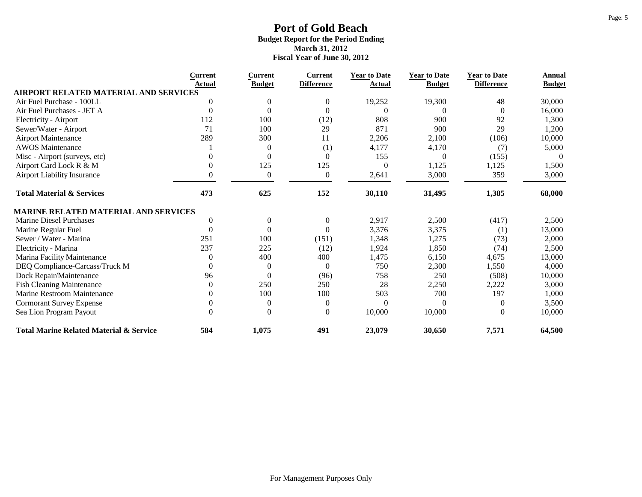|                                                    | Current  | <b>Current</b> | <b>Current</b>    | <b>Year to Date</b> | <b>Year to Date</b> | <b>Year to Date</b> | Annual        |
|----------------------------------------------------|----------|----------------|-------------------|---------------------|---------------------|---------------------|---------------|
| <b>AIRPORT RELATED MATERIAL AND SERVICES</b>       | Actual   | <b>Budget</b>  | <b>Difference</b> | Actual              | <b>Budget</b>       | <b>Difference</b>   | <b>Budget</b> |
| Air Fuel Purchase - 100LL                          | 0        | 0              | $\mathbf{0}$      | 19,252              | 19,300              | 48                  | 30,000        |
| Air Fuel Purchases - JET A                         | $\theta$ | $\Omega$       | $\Omega$          |                     |                     | $\Omega$            | 16,000        |
| Electricity - Airport                              | 112      | 100            | (12)              | 808                 | 900                 | 92                  | 1,300         |
| Sewer/Water - Airport                              | 71       | 100            | 29                | 871                 | 900                 | 29                  | 1,200         |
| <b>Airport Maintenance</b>                         | 289      | 300            | 11                | 2,206               | 2,100               | (106)               | 10,000        |
| <b>AWOS</b> Maintenance                            |          | $\theta$       | (1)               | 4,177               | 4,170               | (7)                 | 5,000         |
| Misc - Airport (surveys, etc)                      |          | $\Omega$       | $\Omega$          | 155                 | $\Omega$            | (155)               | $\theta$      |
| Airport Card Lock R & M                            |          | 125            | 125               | $\Omega$            | 1,125               | 1,125               | 1,500         |
| <b>Airport Liability Insurance</b>                 |          | $\mathbf{0}$   | $\mathbf{0}$      | 2,641               | 3,000               | 359                 | 3,000         |
| <b>Total Material &amp; Services</b>               | 473      | 625            | 152               | 30,110              | 31,495              | 1,385               | 68,000        |
| <b>MARINE RELATED MATERIAL AND SERVICES</b>        |          |                |                   |                     |                     |                     |               |
| Marine Diesel Purchases                            | 0        | $\mathbf{0}$   | $\boldsymbol{0}$  | 2,917               | 2,500               | (417)               | 2,500         |
| Marine Regular Fuel                                | $\theta$ | $\Omega$       | $\Omega$          | 3,376               | 3,375               | (1)                 | 13,000        |
| Sewer / Water - Marina                             | 251      | 100            | (151)             | 1,348               | 1,275               | (73)                | 2,000         |
| Electricity - Marina                               | 237      | 225            | (12)              | 1,924               | 1,850               | (74)                | 2,500         |
| Marina Facility Maintenance                        |          | 400            | 400               | 1,475               | 6,150               | 4,675               | 13,000        |
| DEQ Compliance-Carcass/Truck M                     |          | $\theta$       | $\mathbf{0}$      | 750                 | 2,300               | 1,550               | 4,000         |
| Dock Repair/Maintenance                            | 96       | $\theta$       | (96)              | 758                 | 250                 | (508)               | 10,000        |
| <b>Fish Cleaning Maintenance</b>                   |          | 250            | 250               | 28                  | 2,250               | 2,222               | 3,000         |
| Marine Restroom Maintenance                        |          | 100            | 100               | 503                 | 700                 | 197                 | 1,000         |
| <b>Cormorant Survey Expense</b>                    |          | $\theta$       | $\mathbf{0}$      | 0                   |                     | $\Omega$            | 3,500         |
| Sea Lion Program Payout                            | 0        | $\mathbf{0}$   | $\boldsymbol{0}$  | 10,000              | 10,000              | $\theta$            | 10,000        |
| <b>Total Marine Related Material &amp; Service</b> | 584      | 1,075          | 491               | 23,079              | 30,650              | 7,571               | 64,500        |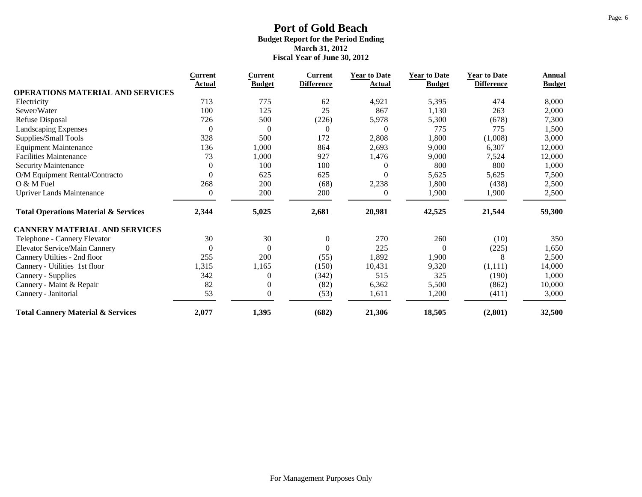|                                                 | Current        | <b>Current</b>   | Current           | <b>Year to Date</b> | <b>Year to Date</b> | <b>Year to Date</b> | Annual        |
|-------------------------------------------------|----------------|------------------|-------------------|---------------------|---------------------|---------------------|---------------|
| <b>OPERATIONS MATERIAL AND SERVICES</b>         | Actual         | <b>Budget</b>    | <b>Difference</b> | Actual              | <b>Budget</b>       | <b>Difference</b>   | <b>Budget</b> |
| Electricity                                     | 713            | 775              | 62                | 4,921               | 5,395               | 474                 | 8,000         |
| Sewer/Water                                     | 100            | 125              | 25                | 867                 | 1,130               | 263                 | 2,000         |
| Refuse Disposal                                 | 726            | 500              | (226)             | 5,978               | 5,300               | (678)               | 7,300         |
| <b>Landscaping Expenses</b>                     | $\overline{0}$ | $\mathbf{0}$     | $\mathbf{0}$      | $\theta$            | 775                 | 775                 | 1,500         |
| Supplies/Small Tools                            | 328            | 500              | 172               | 2,808               | 1,800               | (1,008)             | 3,000         |
| <b>Equipment Maintenance</b>                    | 136            | 1,000            | 864               | 2,693               | 9,000               | 6,307               | 12,000        |
| <b>Facilities Maintenance</b>                   | 73             | 1,000            | 927               | 1,476               | 9,000               | 7,524               | 12,000        |
| Security Maintenance                            | $\theta$       | 100              | 100               |                     | 800                 | 800                 | 1,000         |
| O/M Equipment Rental/Contracto                  | $\Omega$       | 625              | 625               | 0                   | 5,625               | 5,625               | 7,500         |
| $Q$ & M Fuel                                    | 268            | 200              | (68)              | 2,238               | 1,800               | (438)               | 2,500         |
| <b>Upriver Lands Maintenance</b>                | $\theta$       | 200              | 200               | $\theta$            | 1,900               | 1,900               | 2,500         |
| <b>Total Operations Material &amp; Services</b> | 2,344          | 5,025            | 2,681             | 20,981              | 42,525              | 21,544              | 59,300        |
| <b>CANNERY MATERIAL AND SERVICES</b>            |                |                  |                   |                     |                     |                     |               |
| Telephone - Cannery Elevator                    | 30             | 30               | $\boldsymbol{0}$  | 270                 | 260                 | (10)                | 350           |
| Elevator Service/Main Cannery                   | $\theta$       | $\boldsymbol{0}$ | $\boldsymbol{0}$  | 225                 | $\mathbf{0}$        | (225)               | 1,650         |
| Cannery Utilties - 2nd floor                    | 255            | 200              | (55)              | 1,892               | 1,900               | 8                   | 2,500         |
| Cannery - Utilities 1st floor                   | 1,315          | 1,165            | (150)             | 10,431              | 9,320               | (1,111)             | 14,000        |
| Cannery - Supplies                              | 342            | $\mathbf{0}$     | (342)             | 515                 | 325                 | (190)               | 1,000         |
| Cannery - Maint & Repair                        | 82             | 0                | (82)              | 6,362               | 5,500               | (862)               | 10,000        |
| Cannery - Janitorial                            | 53             | $\mathbf{0}$     | (53)              | 1,611               | 1,200               | (411)               | 3,000         |
| <b>Total Cannery Material &amp; Services</b>    | 2,077          | 1,395            | (682)             | 21,306              | 18,505              | (2, 801)            | 32,500        |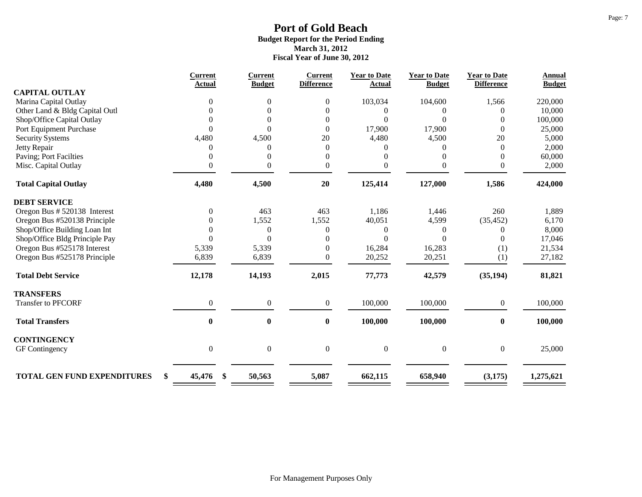|                                    | <b>Current</b><br>Actual | <b>Current</b><br><b>Budget</b> | <b>Current</b><br><b>Difference</b> | <b>Year to Date</b><br>Actual | <b>Year to Date</b><br><b>Budget</b> | <b>Year to Date</b><br><b>Difference</b> | <b>Annual</b><br><b>Budget</b> |
|------------------------------------|--------------------------|---------------------------------|-------------------------------------|-------------------------------|--------------------------------------|------------------------------------------|--------------------------------|
| <b>CAPITAL OUTLAY</b>              |                          |                                 |                                     |                               |                                      |                                          |                                |
| Marina Capital Outlay              | $\Omega$                 | $\Omega$                        | $\boldsymbol{0}$                    | 103,034                       | 104,600                              | 1,566                                    | 220,000                        |
| Other Land & Bldg Capital Outl     | 0                        | 0                               | 0                                   | 0                             | 0                                    | 0                                        | 10,000                         |
| Shop/Office Capital Outlay         | $\theta$                 | $\Omega$                        | $\overline{0}$                      | $\Omega$                      | 0                                    | 0                                        | 100,000                        |
| Port Equipment Purchase            | $\Omega$                 | $\Omega$                        | $\boldsymbol{0}$                    | 17,900                        | 17,900                               | $\Omega$                                 | 25,000                         |
| <b>Security Systems</b>            | 4,480                    | 4,500                           | 20                                  | 4,480                         | 4,500                                | 20                                       | 5,000                          |
| Jetty Repair                       | $\Omega$                 | $\theta$                        | $\overline{0}$                      | 0                             | 0                                    | $\theta$                                 | 2,000                          |
| Paving; Port Facilties             | $\Omega$                 | $\Omega$                        | $\overline{0}$                      | $\theta$                      | 0                                    | $\Omega$                                 | 60,000                         |
| Misc. Capital Outlay               | $\theta$                 | $\mathbf{0}$                    | $\overline{0}$                      | $\overline{0}$                | 0                                    | $\mathbf{0}$                             | 2,000                          |
| <b>Total Capital Outlay</b>        | 4,480                    | 4,500                           | 20                                  | 125,414                       | 127,000                              | 1,586                                    | 424,000                        |
| <b>DEBT SERVICE</b>                |                          |                                 |                                     |                               |                                      |                                          |                                |
| Oregon Bus # 520138 Interest       | $\Omega$                 | 463                             | 463                                 | 1,186                         | 1,446                                | 260                                      | 1,889                          |
| Oregon Bus #520138 Principle       | 0                        | 1,552                           | 1,552                               | 40,051                        | 4,599                                | (35, 452)                                | 6,170                          |
| Shop/Office Building Loan Int      | $\theta$                 | $\boldsymbol{0}$                | $\overline{0}$                      | $\overline{0}$                | $\theta$                             | 0                                        | 8,000                          |
| Shop/Office Bldg Principle Pay     | $\Omega$                 | $\Omega$                        | $\theta$                            | $\Omega$                      | 0                                    | 0                                        | 17,046                         |
| Oregon Bus #525178 Interest        | 5,339                    | 5,339                           | $\overline{0}$                      | 16,284                        | 16,283                               | (1)                                      | 21,534                         |
| Oregon Bus #525178 Principle       | 6,839                    | 6,839                           | $\mathbf{0}$                        | 20,252                        | 20,251                               | (1)                                      | 27,182                         |
| <b>Total Debt Service</b>          | 12,178                   | 14,193                          | 2,015                               | 77,773                        | 42,579                               | (35, 194)                                | 81,821                         |
| <b>TRANSFERS</b>                   |                          |                                 |                                     |                               |                                      |                                          |                                |
| <b>Transfer to PFCORF</b>          | $\Omega$                 | $\mathbf{0}$                    | $\boldsymbol{0}$                    | 100,000                       | 100,000                              | $\overline{0}$                           | 100,000                        |
| <b>Total Transfers</b>             | $\bf{0}$                 | $\bf{0}$                        | $\bf{0}$                            | 100,000                       | 100,000                              | $\bf{0}$                                 | 100,000                        |
| <b>CONTINGENCY</b>                 |                          |                                 |                                     |                               |                                      |                                          |                                |
| GF Contingency                     | $\boldsymbol{0}$         | $\boldsymbol{0}$                | $\boldsymbol{0}$                    | $\boldsymbol{0}$              | $\boldsymbol{0}$                     | $\overline{0}$                           | 25,000                         |
|                                    |                          |                                 |                                     |                               |                                      |                                          |                                |
| <b>TOTAL GEN FUND EXPENDITURES</b> | \$<br>45,476<br>\$       | 50,563                          | 5,087                               | 662,115                       | 658,940                              | (3, 175)                                 | 1,275,621                      |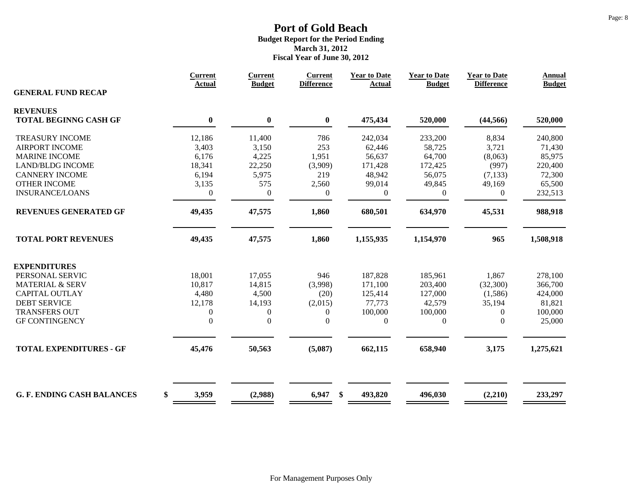|                                   | <b>Current</b><br><b>Actual</b> | <b>Current</b><br><b>Budget</b> | <b>Current</b><br><b>Difference</b> | <b>Year to Date</b><br><b>Actual</b> | <b>Year to Date</b><br><b>Budget</b> | <b>Year to Date</b><br><b>Difference</b> | <b>Annual</b><br><b>Budget</b> |
|-----------------------------------|---------------------------------|---------------------------------|-------------------------------------|--------------------------------------|--------------------------------------|------------------------------------------|--------------------------------|
| <b>GENERAL FUND RECAP</b>         |                                 |                                 |                                     |                                      |                                      |                                          |                                |
| <b>REVENUES</b>                   |                                 |                                 |                                     |                                      |                                      |                                          |                                |
| <b>TOTAL BEGINNG CASH GF</b>      | $\bf{0}$                        | $\pmb{0}$                       | $\pmb{0}$                           | 475,434                              | 520,000                              | (44, 566)                                | 520,000                        |
| <b>TREASURY INCOME</b>            | 12,186                          | 11,400                          | 786                                 | 242,034                              | 233,200                              | 8,834                                    | 240,800                        |
| <b>AIRPORT INCOME</b>             | 3,403                           | 3,150                           | 253                                 | 62,446                               | 58,725                               | 3,721                                    | 71,430                         |
| <b>MARINE INCOME</b>              | 6,176                           | 4,225                           | 1,951                               | 56,637                               | 64,700                               | (8,063)                                  | 85,975                         |
| <b>LAND/BLDG INCOME</b>           | 18,341                          | 22,250                          | (3,909)                             | 171,428                              | 172,425                              | (997)                                    | 220,400                        |
| <b>CANNERY INCOME</b>             | 6,194                           | 5,975                           | 219                                 | 48,942                               | 56,075                               | (7, 133)                                 | 72,300                         |
| <b>OTHER INCOME</b>               | 3,135                           | 575                             | 2,560                               | 99,014                               | 49,845                               | 49,169                                   | 65,500                         |
| <b>INSURANCE/LOANS</b>            | $\overline{0}$                  | $\boldsymbol{0}$                | $\boldsymbol{0}$                    | $\mathbf{0}$                         | $\mathbf{0}$                         | $\overline{0}$                           | 232,513                        |
| <b>REVENUES GENERATED GF</b>      | 49,435                          | 47,575                          | 1,860                               | 680,501                              | 634,970                              | 45,531                                   | 988,918                        |
| <b>TOTAL PORT REVENUES</b>        | 49,435                          | 47,575                          | 1,860                               | 1,155,935                            | 1,154,970                            | 965                                      | 1,508,918                      |
| <b>EXPENDITURES</b>               |                                 |                                 |                                     |                                      |                                      |                                          |                                |
| PERSONAL SERVIC                   | 18,001                          | 17,055                          | 946                                 | 187,828                              | 185,961                              | 1,867                                    | 278,100                        |
| <b>MATERIAL &amp; SERV</b>        | 10,817                          | 14,815                          | (3,998)                             | 171,100                              | 203,400                              | (32,300)                                 | 366,700                        |
| <b>CAPITAL OUTLAY</b>             | 4,480                           | 4,500                           | (20)                                | 125,414                              | 127,000                              | (1,586)                                  | 424,000                        |
| <b>DEBT SERVICE</b>               | 12,178                          | 14,193                          | (2,015)                             | 77,773                               | 42,579                               | 35,194                                   | 81,821                         |
| <b>TRANSFERS OUT</b>              | $\overline{0}$                  | $\boldsymbol{0}$                | $\boldsymbol{0}$                    | 100,000                              | 100,000                              | $\boldsymbol{0}$                         | 100,000                        |
| <b>GF CONTINGENCY</b>             | $\theta$                        | $\boldsymbol{0}$                | $\overline{0}$                      | $\boldsymbol{0}$                     | $\mathbf{0}$                         | $\overline{0}$                           | 25,000                         |
| <b>TOTAL EXPENDITURES - GF</b>    | 45,476                          | 50,563                          | (5,087)                             | 662,115                              | 658,940                              | 3,175                                    | 1,275,621                      |
|                                   |                                 |                                 |                                     |                                      |                                      |                                          |                                |
| <b>G. F. ENDING CASH BALANCES</b> | \$<br>3,959                     | (2,988)                         | 6,947<br>\$                         | 493,820                              | 496,030                              | (2,210)                                  | 233,297                        |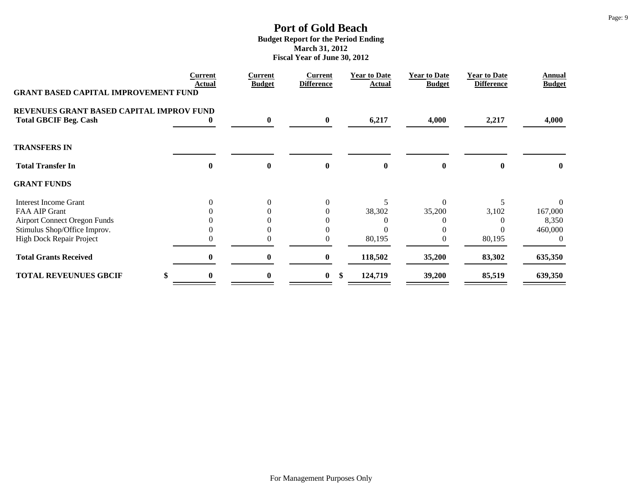|                                             | <b>Current</b><br>Actual | Current<br><b>Budget</b> | <b>Current</b><br><b>Difference</b> | <b>Year to Date</b><br>Actual | <b>Year to Date</b><br><b>Budget</b> | <b>Year to Date</b><br><b>Difference</b> | Annual<br><b>Budget</b> |
|---------------------------------------------|--------------------------|--------------------------|-------------------------------------|-------------------------------|--------------------------------------|------------------------------------------|-------------------------|
| <b>GRANT BASED CAPITAL IMPROVEMENT FUND</b> |                          |                          |                                     |                               |                                      |                                          |                         |
| REVENUES GRANT BASED CAPITAL IMPROV FUND    |                          |                          |                                     |                               |                                      |                                          |                         |
| <b>Total GBCIF Beg. Cash</b>                |                          | $\bf{0}$                 | $\bf{0}$                            | 6,217                         | 4,000                                | 2,217                                    | 4,000                   |
| <b>TRANSFERS IN</b>                         |                          |                          |                                     |                               |                                      |                                          |                         |
| <b>Total Transfer In</b>                    | $\mathbf 0$              | $\mathbf{0}$             | $\bf{0}$                            | $\mathbf{0}$                  | 0                                    |                                          | $\mathbf{0}$            |
| <b>GRANT FUNDS</b>                          |                          |                          |                                     |                               |                                      |                                          |                         |
| <b>Interest Income Grant</b>                |                          | $\theta$                 |                                     |                               | 0                                    |                                          |                         |
| FAA AIP Grant                               |                          | 0                        |                                     | 38,302                        | 35,200                               | 3,102                                    | 167,000                 |
| <b>Airport Connect Oregon Funds</b>         |                          |                          |                                     |                               |                                      |                                          | 8,350                   |
| Stimulus Shop/Office Improv.                |                          | 0                        |                                     |                               |                                      |                                          | 460,000                 |
| <b>High Dock Repair Project</b>             |                          | 0                        |                                     | 80,195                        |                                      | 80,195                                   | $\Omega$                |
| <b>Total Grants Received</b>                | 0                        | $\bf{0}$                 | $\bf{0}$                            | 118,502                       | 35,200                               | 83,302                                   | 635,350                 |
| <b>TOTAL REVEUNUES GBCIF</b>                | 0                        | 0                        | $\bf{0}$                            | \$<br>124,719                 | 39,200                               | 85,519                                   | 639,350                 |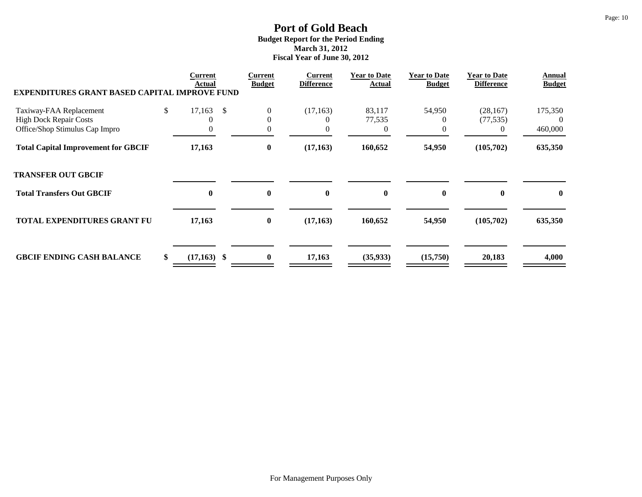| <b>EXPENDITURES GRANT BASED CAPITAL IMPROVE FUND</b>            | Current<br>Actual            | Current<br><b>Budget</b>   | Current<br><b>Difference</b> | <b>Year to Date</b><br><b>Actual</b> | <b>Year to Date</b><br><b>Budget</b> | <b>Year to Date</b><br><b>Difference</b> | Annual<br><b>Budget</b> |
|-----------------------------------------------------------------|------------------------------|----------------------------|------------------------------|--------------------------------------|--------------------------------------|------------------------------------------|-------------------------|
| Taxiway-FAA Replacement                                         | \$<br>17,163<br>$\mathbb{S}$ | $\boldsymbol{0}$           | (17, 163)                    | 83,117                               | 54,950                               | (28, 167)                                | 175,350                 |
| <b>High Dock Repair Costs</b><br>Office/Shop Stimulus Cap Impro | $\theta$                     | $\theta$<br>$\overline{0}$ | $\Omega$<br>0                | 77,535<br>$\Omega$                   |                                      | (77, 535)<br>$\theta$                    | $\theta$<br>460,000     |
| <b>Total Capital Improvement for GBCIF</b>                      | 17,163                       | $\boldsymbol{0}$           | (17, 163)                    | 160,652                              | 54,950                               | (105,702)                                | 635,350                 |
| <b>TRANSFER OUT GBCIF</b>                                       |                              |                            |                              |                                      |                                      |                                          |                         |
| <b>Total Transfers Out GBCIF</b>                                | $\boldsymbol{0}$             | $\bf{0}$                   | $\bf{0}$                     | $\bf{0}$                             | $\mathbf{0}$                         | $\mathbf{0}$                             | $\bf{0}$                |
| <b>TOTAL EXPENDITURES GRANT FU</b>                              | 17,163                       | $\bf{0}$                   | (17, 163)                    | 160,652                              | 54,950                               | (105,702)                                | 635,350                 |
| <b>GBCIF ENDING CASH BALANCE</b>                                | \$<br>$(17,163)$ \$          | $\bf{0}$                   | 17,163                       | (35, 933)                            | (15,750)                             | 20,183                                   | 4,000                   |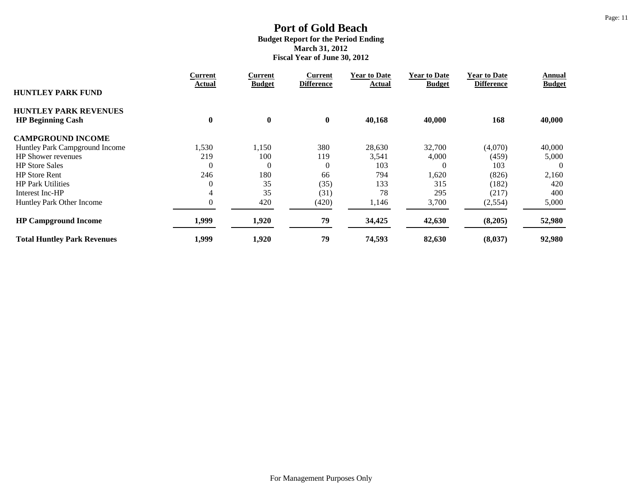|                                    | <b>Current</b> | Current       | Current           | <b>Year to Date</b> | <b>Year to Date</b> | <b>Year to Date</b> | Annual        |
|------------------------------------|----------------|---------------|-------------------|---------------------|---------------------|---------------------|---------------|
| <b>HUNTLEY PARK FUND</b>           | Actual         | <b>Budget</b> | <b>Difference</b> | Actual              | <b>Budget</b>       | <b>Difference</b>   | <b>Budget</b> |
| <b>HUNTLEY PARK REVENUES</b>       |                |               |                   |                     |                     |                     |               |
| <b>HP Beginning Cash</b>           | $\bf{0}$       | $\bf{0}$      | $\bf{0}$          | 40,168              | 40,000              | 168                 | 40,000        |
| <b>CAMPGROUND INCOME</b>           |                |               |                   |                     |                     |                     |               |
| Huntley Park Campground Income     | 1,530          | 1,150         | 380               | 28,630              | 32,700              | (4,070)             | 40,000        |
| <b>HP</b> Shower revenues          | 219            | 100           | 119               | 3,541               | 4,000               | (459)               | 5,000         |
| <b>HP</b> Store Sales              | $\mathbf 0$    | $\theta$      | $\overline{0}$    | 103                 |                     | 103                 | $\Omega$      |
| <b>HP</b> Store Rent               | 246            | 180           | 66                | 794                 | 1,620               | (826)               | 2,160         |
| <b>HP Park Utilities</b>           |                | 35            | (35)              | 133                 | 315                 | (182)               | 420           |
| Interest Inc-HP                    | 4              | 35            | (31)              | 78                  | 295                 | (217)               | 400           |
| Huntley Park Other Income          | $\overline{0}$ | 420           | (420)             | 1,146               | 3,700               | (2, 554)            | 5,000         |
| <b>HP Campground Income</b>        | 1,999          | 1,920         | 79                | 34,425              | 42,630              | (8,205)             | 52,980        |
| <b>Total Huntley Park Revenues</b> | 1,999          | 1,920         | 79                | 74,593              | 82,630              | (8,037)             | 92,980        |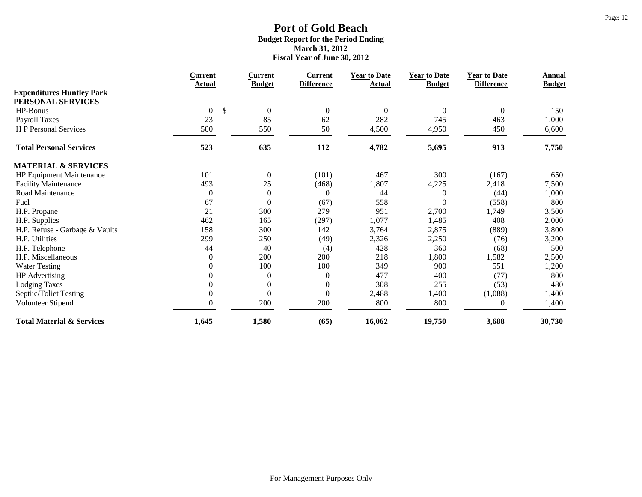|                                      | <b>Current</b>         | <b>Current</b>   | <b>Current</b>    | <b>Year to Date</b> | <b>Year to Date</b> | <b>Year to Date</b> | <b>Annual</b> |
|--------------------------------------|------------------------|------------------|-------------------|---------------------|---------------------|---------------------|---------------|
| <b>Expenditures Huntley Park</b>     | Actual                 | <b>Budget</b>    | <b>Difference</b> | <b>Actual</b>       | <b>Budget</b>       | <b>Difference</b>   | <b>Budget</b> |
| PERSONAL SERVICES                    |                        |                  |                   |                     |                     |                     |               |
| HP-Bonus                             | \$<br>$\boldsymbol{0}$ | $\boldsymbol{0}$ | $\boldsymbol{0}$  | $\boldsymbol{0}$    | $\boldsymbol{0}$    | $\boldsymbol{0}$    | 150           |
| Payroll Taxes                        | 23                     | 85               | 62                | 282                 | 745                 | 463                 | 1,000         |
| <b>HP</b> Personal Services          | 500                    | 550              | 50                | 4,500               | 4,950               | 450                 | 6,600         |
| <b>Total Personal Services</b>       | 523                    | 635              | 112               | 4,782               | 5,695               | 913                 | 7,750         |
| <b>MATERIAL &amp; SERVICES</b>       |                        |                  |                   |                     |                     |                     |               |
| HP Equipment Maintenance             | 101                    | $\boldsymbol{0}$ | (101)             | 467                 | 300                 | (167)               | 650           |
| <b>Facility Maintenance</b>          | 493                    | 25               | (468)             | 1,807               | 4,225               | 2,418               | 7,500         |
| Road Maintenance                     | $\mathbf{0}$           | $\boldsymbol{0}$ | $\theta$          | 44                  | $\theta$            | (44)                | 1,000         |
| Fuel                                 | 67                     | $\boldsymbol{0}$ | (67)              | 558                 | $\Omega$            | (558)               | 800           |
| H.P. Propane                         | 21                     | 300              | 279               | 951                 | 2,700               | 1,749               | 3,500         |
| H.P. Supplies                        | 462                    | 165              | (297)             | 1,077               | 1,485               | 408                 | 2,000         |
| H.P. Refuse - Garbage & Vaults       | 158                    | 300              | 142               | 3,764               | 2,875               | (889)               | 3,800         |
| H.P. Utilities                       | 299                    | 250              | (49)              | 2,326               | 2,250               | (76)                | 3,200         |
| H.P. Telephone                       | 44                     | 40               | (4)               | 428                 | 360                 | (68)                | 500           |
| H.P. Miscellaneous                   | $\theta$               | 200              | 200               | 218                 | 1,800               | 1,582               | 2,500         |
| <b>Water Testing</b>                 | $\mathbf{0}$           | 100              | 100               | 349                 | 900                 | 551                 | 1,200         |
| <b>HP</b> Advertising                | $\mathbf{0}$           | $\boldsymbol{0}$ | $\mathbf{0}$      | 477                 | 400                 | (77)                | 800           |
| <b>Lodging Taxes</b>                 | $\mathbf{0}$           | $\overline{0}$   | $\boldsymbol{0}$  | 308                 | 255                 | (53)                | 480           |
| Septiic/Toliet Testing               | $\boldsymbol{0}$       | $\overline{0}$   | $\boldsymbol{0}$  | 2,488               | 1,400               | (1,088)             | 1,400         |
| Volunteer Stipend                    | $\mathbf{0}$           | 200              | 200               | 800                 | 800                 | $\boldsymbol{0}$    | 1,400         |
| <b>Total Material &amp; Services</b> | 1,645                  | 1,580            | (65)              | 16,062              | 19,750              | 3,688               | 30,730        |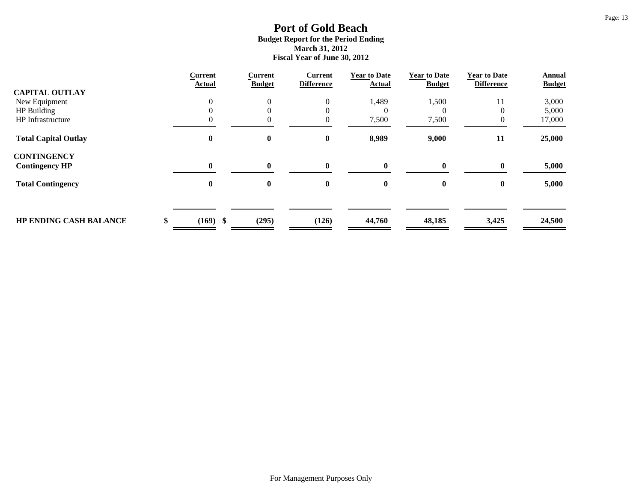|                               | <b>Current</b><br>Actual | <b>Current</b><br><b>Budget</b> | <b>Current</b><br><b>Difference</b> | <b>Year to Date</b><br><b>Actual</b> | <b>Year to Date</b><br><b>Budget</b> | <b>Year to Date</b><br><b>Difference</b> | <b>Annual</b><br><b>Budget</b> |
|-------------------------------|--------------------------|---------------------------------|-------------------------------------|--------------------------------------|--------------------------------------|------------------------------------------|--------------------------------|
| <b>CAPITAL OUTLAY</b>         |                          |                                 |                                     |                                      |                                      |                                          |                                |
| New Equipment                 |                          | $\mathbf{0}$                    | $\overline{0}$                      | 1,489                                | 1,500                                | 11                                       | 3,000                          |
| HP Building                   |                          |                                 | $\theta$                            |                                      |                                      |                                          | 5,000                          |
| HP Infrastructure             |                          |                                 | $\overline{0}$                      | 7,500                                | 7,500                                | $\theta$                                 | 17,000                         |
| <b>Total Capital Outlay</b>   | 0                        | $\bf{0}$                        | $\bf{0}$                            | 8,989                                | 9,000                                | 11                                       | 25,000                         |
| <b>CONTINGENCY</b>            |                          |                                 |                                     |                                      |                                      |                                          |                                |
| <b>Contingency HP</b>         | $\mathbf{0}$             | $\mathbf{0}$                    | $\mathbf{0}$                        | $\bf{0}$                             | $\mathbf{0}$                         | $\mathbf{0}$                             | 5,000                          |
| <b>Total Contingency</b>      | 0                        | $\bf{0}$                        | $\bf{0}$                            | 0                                    | $\bf{0}$                             | $\bf{0}$                                 | 5,000                          |
|                               |                          |                                 |                                     |                                      |                                      |                                          |                                |
| <b>HP ENDING CASH BALANCE</b> | $(169)$ \$               | (295)                           | (126)                               | 44,760                               | 48,185                               | 3,425                                    | 24,500                         |